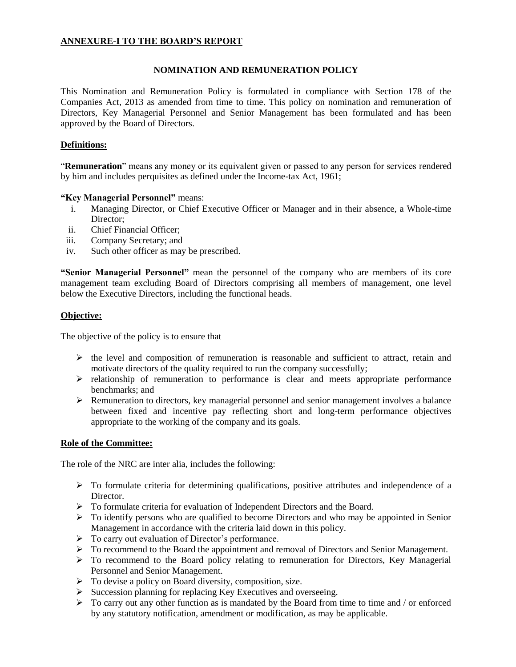# **ANNEXURE-I TO THE BOARD'S REPORT**

## **NOMINATION AND REMUNERATION POLICY**

This Nomination and Remuneration Policy is formulated in compliance with Section 178 of the Companies Act, 2013 as amended from time to time. This policy on nomination and remuneration of Directors, Key Managerial Personnel and Senior Management has been formulated and has been approved by the Board of Directors.

## **Definitions:**

"**Remuneration**" means any money or its equivalent given or passed to any person for services rendered by him and includes perquisites as defined under the Income-tax Act, 1961;

## **"Key Managerial Personnel"** means:

- i. Managing Director, or Chief Executive Officer or Manager and in their absence, a Whole-time Director;
- ii. Chief Financial Officer;
- iii. Company Secretary; and
- iv. Such other officer as may be prescribed.

**"Senior Managerial Personnel"** mean the personnel of the company who are members of its core management team excluding Board of Directors comprising all members of management, one level below the Executive Directors, including the functional heads.

# **Objective:**

The objective of the policy is to ensure that

- $\triangleright$  the level and composition of remuneration is reasonable and sufficient to attract, retain and motivate directors of the quality required to run the company successfully;
- $\triangleright$  relationship of remuneration to performance is clear and meets appropriate performance benchmarks; and
- Remuneration to directors, key managerial personnel and senior management involves a balance between fixed and incentive pay reflecting short and long-term performance objectives appropriate to the working of the company and its goals.

## **Role of the Committee:**

The role of the NRC are inter alia, includes the following:

- $\triangleright$  To formulate criteria for determining qualifications, positive attributes and independence of a Director.
- To formulate criteria for evaluation of Independent Directors and the Board.
- $\triangleright$  To identify persons who are qualified to become Directors and who may be appointed in Senior Management in accordance with the criteria laid down in this policy.
- $\triangleright$  To carry out evaluation of Director's performance.
- > To recommend to the Board the appointment and removal of Directors and Senior Management.
- To recommend to the Board policy relating to remuneration for Directors, Key Managerial Personnel and Senior Management.
- $\triangleright$  To devise a policy on Board diversity, composition, size.
- $\triangleright$  Succession planning for replacing Key Executives and overseeing.
- $\triangleright$  To carry out any other function as is mandated by the Board from time to time and / or enforced by any statutory notification, amendment or modification, as may be applicable.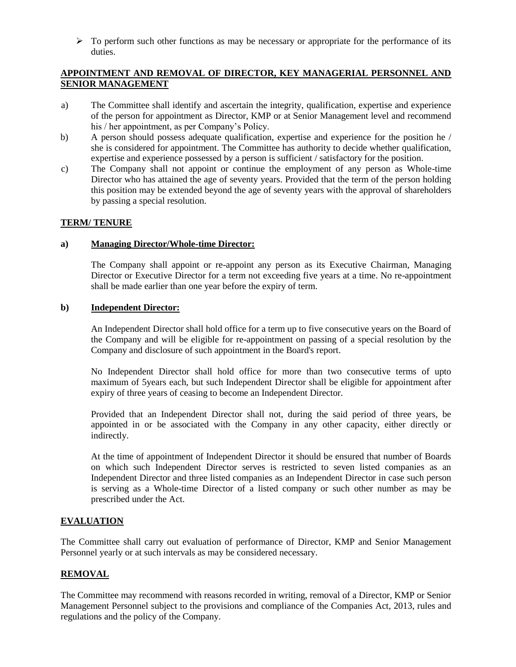$\triangleright$  To perform such other functions as may be necessary or appropriate for the performance of its duties.

# **APPOINTMENT AND REMOVAL OF DIRECTOR, KEY MANAGERIAL PERSONNEL AND SENIOR MANAGEMENT**

- a) The Committee shall identify and ascertain the integrity, qualification, expertise and experience of the person for appointment as Director, KMP or at Senior Management level and recommend his / her appointment, as per Company's Policy.
- b) A person should possess adequate qualification, expertise and experience for the position he / she is considered for appointment. The Committee has authority to decide whether qualification, expertise and experience possessed by a person is sufficient / satisfactory for the position.
- c) The Company shall not appoint or continue the employment of any person as Whole-time Director who has attained the age of seventy years. Provided that the term of the person holding this position may be extended beyond the age of seventy years with the approval of shareholders by passing a special resolution.

# **TERM/ TENURE**

## **a) Managing Director/Whole-time Director:**

The Company shall appoint or re-appoint any person as its Executive Chairman, Managing Director or Executive Director for a term not exceeding five years at a time. No re-appointment shall be made earlier than one year before the expiry of term.

#### **b) Independent Director:**

An Independent Director shall hold office for a term up to five consecutive years on the Board of the Company and will be eligible for re-appointment on passing of a special resolution by the Company and disclosure of such appointment in the Board's report.

No Independent Director shall hold office for more than two consecutive terms of upto maximum of 5years each, but such Independent Director shall be eligible for appointment after expiry of three years of ceasing to become an Independent Director.

Provided that an Independent Director shall not, during the said period of three years, be appointed in or be associated with the Company in any other capacity, either directly or indirectly.

At the time of appointment of Independent Director it should be ensured that number of Boards on which such Independent Director serves is restricted to seven listed companies as an Independent Director and three listed companies as an Independent Director in case such person is serving as a Whole-time Director of a listed company or such other number as may be prescribed under the Act.

# **EVALUATION**

The Committee shall carry out evaluation of performance of Director, KMP and Senior Management Personnel yearly or at such intervals as may be considered necessary.

## **REMOVAL**

The Committee may recommend with reasons recorded in writing, removal of a Director, KMP or Senior Management Personnel subject to the provisions and compliance of the Companies Act, 2013, rules and regulations and the policy of the Company.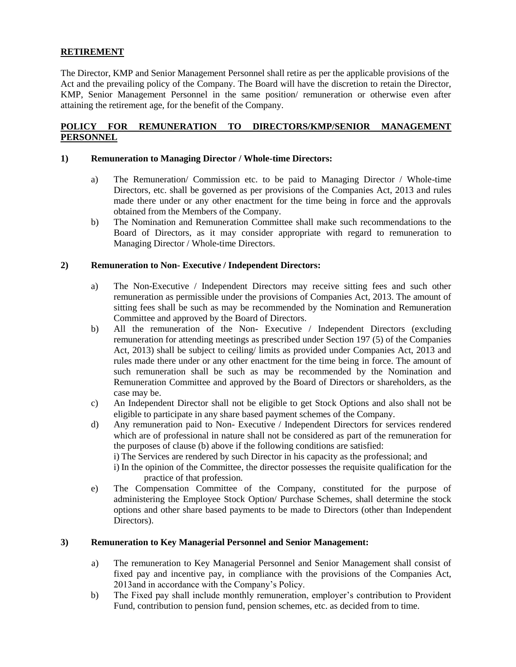# **RETIREMENT**

The Director, KMP and Senior Management Personnel shall retire as per the applicable provisions of the Act and the prevailing policy of the Company. The Board will have the discretion to retain the Director, KMP, Senior Management Personnel in the same position/ remuneration or otherwise even after attaining the retirement age, for the benefit of the Company.

## **POLICY FOR REMUNERATION TO DIRECTORS/KMP/SENIOR MANAGEMENT PERSONNEL**

#### **1) Remuneration to Managing Director / Whole-time Directors:**

- a) The Remuneration/ Commission etc. to be paid to Managing Director / Whole-time Directors, etc. shall be governed as per provisions of the Companies Act, 2013 and rules made there under or any other enactment for the time being in force and the approvals obtained from the Members of the Company.
- b) The Nomination and Remuneration Committee shall make such recommendations to the Board of Directors, as it may consider appropriate with regard to remuneration to Managing Director / Whole-time Directors.

#### **2) Remuneration to Non- Executive / Independent Directors:**

- a) The Non-Executive / Independent Directors may receive sitting fees and such other remuneration as permissible under the provisions of Companies Act, 2013. The amount of sitting fees shall be such as may be recommended by the Nomination and Remuneration Committee and approved by the Board of Directors.
- b) All the remuneration of the Non- Executive / Independent Directors (excluding remuneration for attending meetings as prescribed under Section 197 (5) of the Companies Act, 2013) shall be subject to ceiling/ limits as provided under Companies Act, 2013 and rules made there under or any other enactment for the time being in force. The amount of such remuneration shall be such as may be recommended by the Nomination and Remuneration Committee and approved by the Board of Directors or shareholders, as the case may be.
- c) An Independent Director shall not be eligible to get Stock Options and also shall not be eligible to participate in any share based payment schemes of the Company.
- d) Any remuneration paid to Non- Executive / Independent Directors for services rendered which are of professional in nature shall not be considered as part of the remuneration for the purposes of clause (b) above if the following conditions are satisfied:

i) The Services are rendered by such Director in his capacity as the professional; and

- i) In the opinion of the Committee, the director possesses the requisite qualification for the practice of that profession.
- e) The Compensation Committee of the Company, constituted for the purpose of administering the Employee Stock Option/ Purchase Schemes, shall determine the stock options and other share based payments to be made to Directors (other than Independent Directors).

## **3) Remuneration to Key Managerial Personnel and Senior Management:**

- a) The remuneration to Key Managerial Personnel and Senior Management shall consist of fixed pay and incentive pay, in compliance with the provisions of the Companies Act, 2013and in accordance with the Company's Policy.
- b) The Fixed pay shall include monthly remuneration, employer's contribution to Provident Fund, contribution to pension fund, pension schemes, etc. as decided from to time.